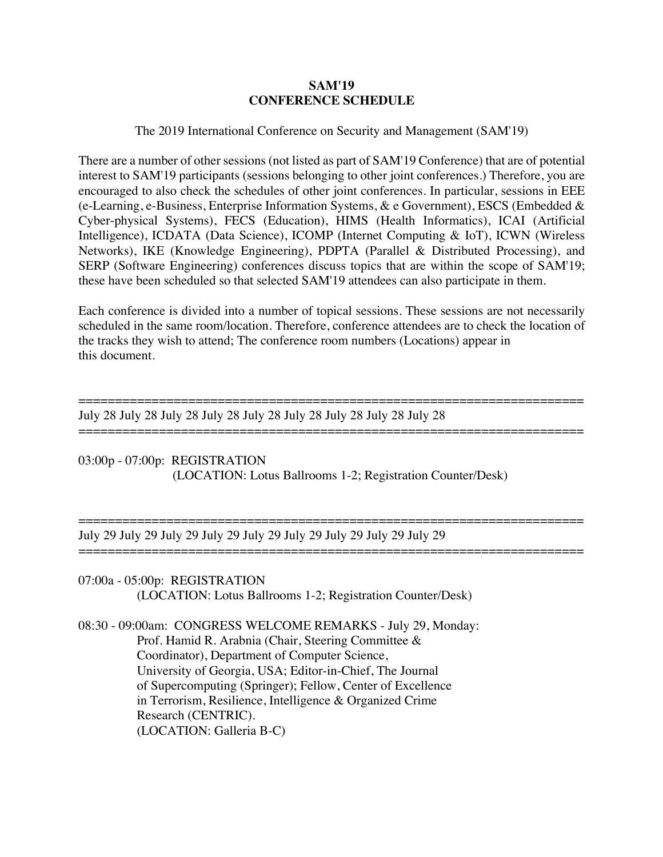## **SAM'19 CONFERENCE SCHEDULE**

# The 2019 International Conference on Security and Management (SAM'19)

There are a number of other sessions (not listed as part of SAM'19 Conference) that are of potential interest to SAM'19 participants (sessions belonging to other joint conferences.) Therefore, you are encouraged to also check the schedules of other joint conferences. In particular, sessions in EEE (e-Learning, e-Business, Enterprise Information Systems, & e Government), ESCS (Embedded & Cyber-physical Systems), FECS (Education), HIMS (Health Informatics), ICAI (Artificial Intelligence), ICDATA (Data Science), ICOMP (Internet Computing & IoT), ICWN (Wireless Networks), IKE (Knowledge Engineering), PDPTA (Parallel & Distributed Processing), and SERP (Software Engineering) conferences discuss topics that are within the scope of SAM'19; these have been scheduled so that selected SAM'19 attendees can also participate in them.

Each conference is divided into a number of topical sessions. These sessions are not necessarily scheduled in the same room/location. Therefore, conference attendees are to check the location of the tracks they wish to attend; The conference room numbers (Locations) appear in this document.

=====================================================================

===================================================================== July 28 July 28 July 28 July 28 July 28 July 28 July 28 July 28 July 28

03:00p - 07:00p: REGISTRATION (LOCATION: Lotus Ballrooms 1-2; Registration Counter/Desk)

===================================================================== July 29 July 29 July 29 July 29 July 29 July 29 July 29 July 29 July 29

07:00a - 05:00p: REGISTRATION

=====================================================================

(LOCATION: Lotus Ballrooms 1-2; Registration Counter/Desk)

08:30 - 09:00am: CONGRESS WELCOME REMARKS - July 29, Monday: Prof. Hamid R. Arabnia (Chair, Steering Committee & Coordinator), Department of Computer Science, University of Georgia, USA; Editor-in-Chief, The Journal of Supercomputing (Springer); Fellow, Center of Excellence in Terrorism, Resilience, Intelligence & Organized Crime Research (CENTRIC). (LOCATION: Galleria B-C)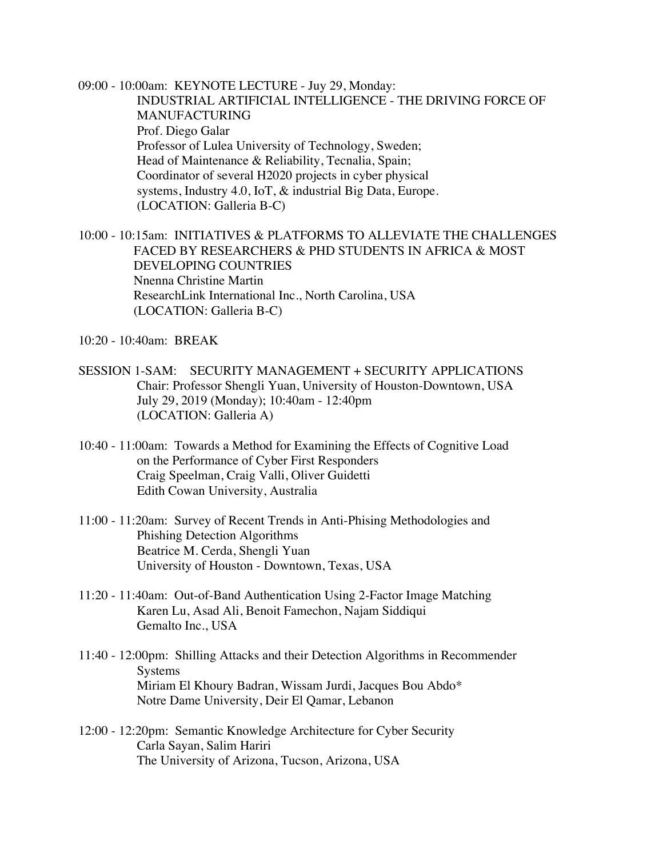09:00 - 10:00am: KEYNOTE LECTURE - Juy 29, Monday: INDUSTRIAL ARTIFICIAL INTELLIGENCE - THE DRIVING FORCE OF MANUFACTURING Prof. Diego Galar Professor of Lulea University of Technology, Sweden; Head of Maintenance & Reliability, Tecnalia, Spain; Coordinator of several H2020 projects in cyber physical systems, Industry 4.0, IoT, & industrial Big Data, Europe. (LOCATION: Galleria B-C)

10:00 - 10:15am: INITIATIVES & PLATFORMS TO ALLEVIATE THE CHALLENGES FACED BY RESEARCHERS & PHD STUDENTS IN AFRICA & MOST DEVELOPING COUNTRIES Nnenna Christine Martin ResearchLink International Inc., North Carolina, USA (LOCATION: Galleria B-C)

10:20 - 10:40am: BREAK

- SESSION 1-SAM: SECURITY MANAGEMENT + SECURITY APPLICATIONS Chair: Professor Shengli Yuan, University of Houston-Downtown, USA July 29, 2019 (Monday); 10:40am - 12:40pm (LOCATION: Galleria A)
- 10:40 11:00am: Towards a Method for Examining the Effects of Cognitive Load on the Performance of Cyber First Responders Craig Speelman, Craig Valli, Oliver Guidetti Edith Cowan University, Australia
- 11:00 11:20am: Survey of Recent Trends in Anti-Phising Methodologies and Phishing Detection Algorithms Beatrice M. Cerda, Shengli Yuan University of Houston - Downtown, Texas, USA
- 11:20 11:40am: Out-of-Band Authentication Using 2-Factor Image Matching Karen Lu, Asad Ali, Benoit Famechon, Najam Siddiqui Gemalto Inc., USA
- 11:40 12:00pm: Shilling Attacks and their Detection Algorithms in Recommender Systems Miriam El Khoury Badran, Wissam Jurdi, Jacques Bou Abdo\* Notre Dame University, Deir El Qamar, Lebanon
- 12:00 12:20pm: Semantic Knowledge Architecture for Cyber Security Carla Sayan, Salim Hariri The University of Arizona, Tucson, Arizona, USA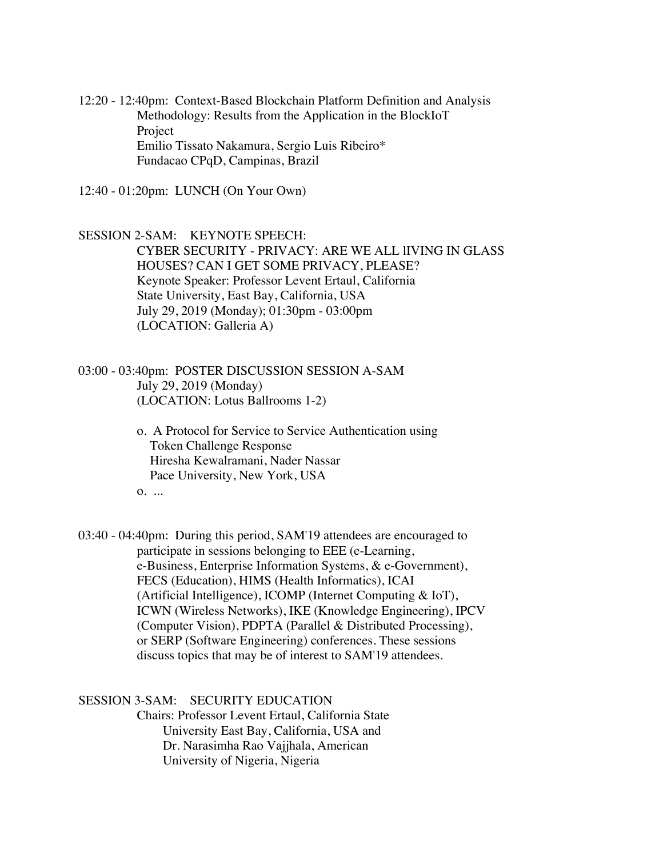12:20 - 12:40pm: Context-Based Blockchain Platform Definition and Analysis Methodology: Results from the Application in the BlockIoT Project Emilio Tissato Nakamura, Sergio Luis Ribeiro\* Fundacao CPqD, Campinas, Brazil

12:40 - 01:20pm: LUNCH (On Your Own)

SESSION 2-SAM: KEYNOTE SPEECH: CYBER SECURITY - PRIVACY: ARE WE ALL lIVING IN GLASS HOUSES? CAN I GET SOME PRIVACY, PLEASE? Keynote Speaker: Professor Levent Ertaul, California State University, East Bay, California, USA July 29, 2019 (Monday); 01:30pm - 03:00pm (LOCATION: Galleria A)

03:00 - 03:40pm: POSTER DISCUSSION SESSION A-SAM July 29, 2019 (Monday) (LOCATION: Lotus Ballrooms 1-2)

> o. A Protocol for Service to Service Authentication using Token Challenge Response Hiresha Kewalramani, Nader Nassar Pace University, New York, USA

o. ...

03:40 - 04:40pm: During this period, SAM'19 attendees are encouraged to participate in sessions belonging to EEE (e-Learning, e-Business, Enterprise Information Systems, & e-Government), FECS (Education), HIMS (Health Informatics), ICAI (Artificial Intelligence), ICOMP (Internet Computing & IoT), ICWN (Wireless Networks), IKE (Knowledge Engineering), IPCV (Computer Vision), PDPTA (Parallel & Distributed Processing), or SERP (Software Engineering) conferences. These sessions discuss topics that may be of interest to SAM'19 attendees.

SESSION 3-SAM: SECURITY EDUCATION

 Chairs: Professor Levent Ertaul, California State University East Bay, California, USA and Dr. Narasimha Rao Vajjhala, American University of Nigeria, Nigeria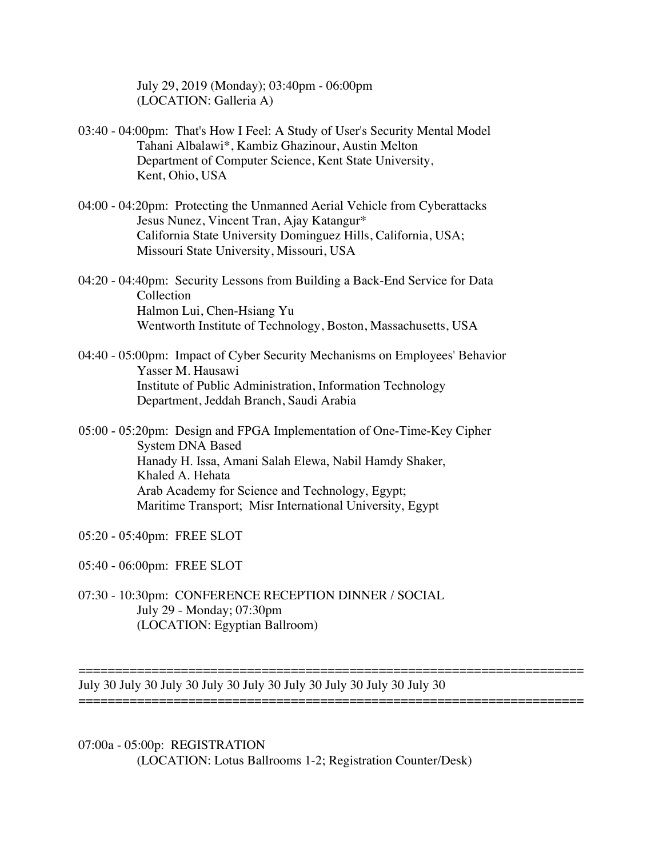July 29, 2019 (Monday); 03:40pm - 06:00pm (LOCATION: Galleria A)

- 03:40 04:00pm: That's How I Feel: A Study of User's Security Mental Model Tahani Albalawi\*, Kambiz Ghazinour, Austin Melton Department of Computer Science, Kent State University, Kent, Ohio, USA
- 04:00 04:20pm: Protecting the Unmanned Aerial Vehicle from Cyberattacks Jesus Nunez, Vincent Tran, Ajay Katangur\* California State University Dominguez Hills, California, USA; Missouri State University, Missouri, USA
- 04:20 04:40pm: Security Lessons from Building a Back-End Service for Data Collection Halmon Lui, Chen-Hsiang Yu Wentworth Institute of Technology, Boston, Massachusetts, USA
- 04:40 05:00pm: Impact of Cyber Security Mechanisms on Employees' Behavior Yasser M. Hausawi Institute of Public Administration, Information Technology Department, Jeddah Branch, Saudi Arabia
- 05:00 05:20pm: Design and FPGA Implementation of One-Time-Key Cipher System DNA Based Hanady H. Issa, Amani Salah Elewa, Nabil Hamdy Shaker, Khaled A. Hehata Arab Academy for Science and Technology, Egypt; Maritime Transport; Misr International University, Egypt
- 05:20 05:40pm: FREE SLOT

05:40 - 06:00pm: FREE SLOT

07:30 - 10:30pm: CONFERENCE RECEPTION DINNER / SOCIAL July 29 - Monday; 07:30pm (LOCATION: Egyptian Ballroom)

July 30 July 30 July 30 July 30 July 30 July 30 July 30 July 30 July 30 =====================================================================

=====================================================================

07:00a - 05:00p: REGISTRATION (LOCATION: Lotus Ballrooms 1-2; Registration Counter/Desk)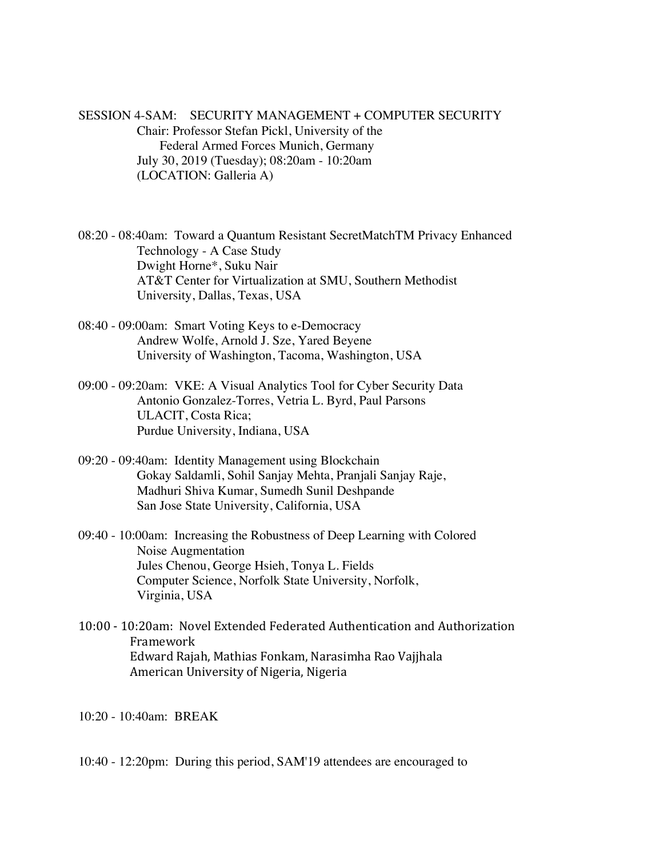SESSION 4-SAM: SECURITY MANAGEMENT + COMPUTER SECURITY Chair: Professor Stefan Pickl, University of the Federal Armed Forces Munich, Germany July 30, 2019 (Tuesday); 08:20am - 10:20am (LOCATION: Galleria A)

08:20 - 08:40am: Toward a Quantum Resistant SecretMatchTM Privacy Enhanced Technology - A Case Study Dwight Horne\*, Suku Nair AT&T Center for Virtualization at SMU, Southern Methodist University, Dallas, Texas, USA

- 08:40 09:00am: Smart Voting Keys to e-Democracy Andrew Wolfe, Arnold J. Sze, Yared Beyene University of Washington, Tacoma, Washington, USA
- 09:00 09:20am: VKE: A Visual Analytics Tool for Cyber Security Data Antonio Gonzalez-Torres, Vetria L. Byrd, Paul Parsons ULACIT, Costa Rica; Purdue University, Indiana, USA
- 09:20 09:40am: Identity Management using Blockchain Gokay Saldamli, Sohil Sanjay Mehta, Pranjali Sanjay Raje, Madhuri Shiva Kumar, Sumedh Sunil Deshpande San Jose State University, California, USA
- 09:40 10:00am: Increasing the Robustness of Deep Learning with Colored Noise Augmentation Jules Chenou, George Hsieh, Tonya L. Fields Computer Science, Norfolk State University, Norfolk, Virginia, USA
- 10:00 - 10:20am: Novel Extended Federated Authentication and Authorization Framework Edward Rajah, Mathias Fonkam, Narasimha Rao Vajjhala American University of Nigeria, Nigeria

10:20 - 10:40am: BREAK

10:40 - 12:20pm: During this period, SAM'19 attendees are encouraged to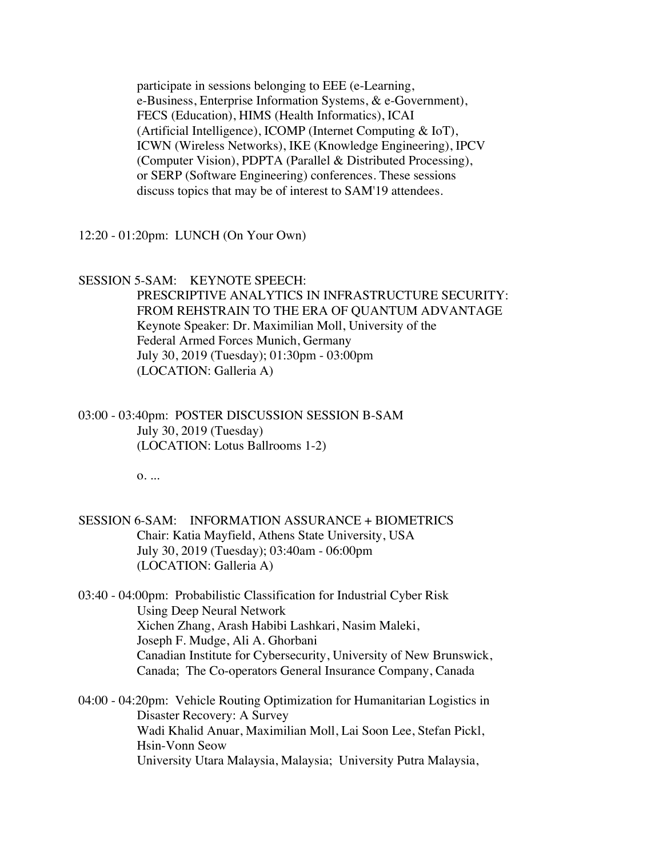participate in sessions belonging to EEE (e-Learning, e-Business, Enterprise Information Systems, & e-Government), FECS (Education), HIMS (Health Informatics), ICAI (Artificial Intelligence), ICOMP (Internet Computing & IoT), ICWN (Wireless Networks), IKE (Knowledge Engineering), IPCV (Computer Vision), PDPTA (Parallel & Distributed Processing), or SERP (Software Engineering) conferences. These sessions discuss topics that may be of interest to SAM'19 attendees.

12:20 - 01:20pm: LUNCH (On Your Own)

#### SESSION 5-SAM: KEYNOTE SPEECH:

 PRESCRIPTIVE ANALYTICS IN INFRASTRUCTURE SECURITY: FROM REHSTRAIN TO THE ERA OF QUANTUM ADVANTAGE Keynote Speaker: Dr. Maximilian Moll, University of the Federal Armed Forces Munich, Germany July 30, 2019 (Tuesday); 01:30pm - 03:00pm (LOCATION: Galleria A)

03:00 - 03:40pm: POSTER DISCUSSION SESSION B-SAM July 30, 2019 (Tuesday) (LOCATION: Lotus Ballrooms 1-2)

o. ...

- SESSION 6-SAM: INFORMATION ASSURANCE + BIOMETRICS Chair: Katia Mayfield, Athens State University, USA July 30, 2019 (Tuesday); 03:40am - 06:00pm (LOCATION: Galleria A)
- 03:40 04:00pm: Probabilistic Classification for Industrial Cyber Risk Using Deep Neural Network Xichen Zhang, Arash Habibi Lashkari, Nasim Maleki, Joseph F. Mudge, Ali A. Ghorbani Canadian Institute for Cybersecurity, University of New Brunswick, Canada; The Co-operators General Insurance Company, Canada

04:00 - 04:20pm: Vehicle Routing Optimization for Humanitarian Logistics in Disaster Recovery: A Survey Wadi Khalid Anuar, Maximilian Moll, Lai Soon Lee, Stefan Pickl, Hsin-Vonn Seow University Utara Malaysia, Malaysia; University Putra Malaysia,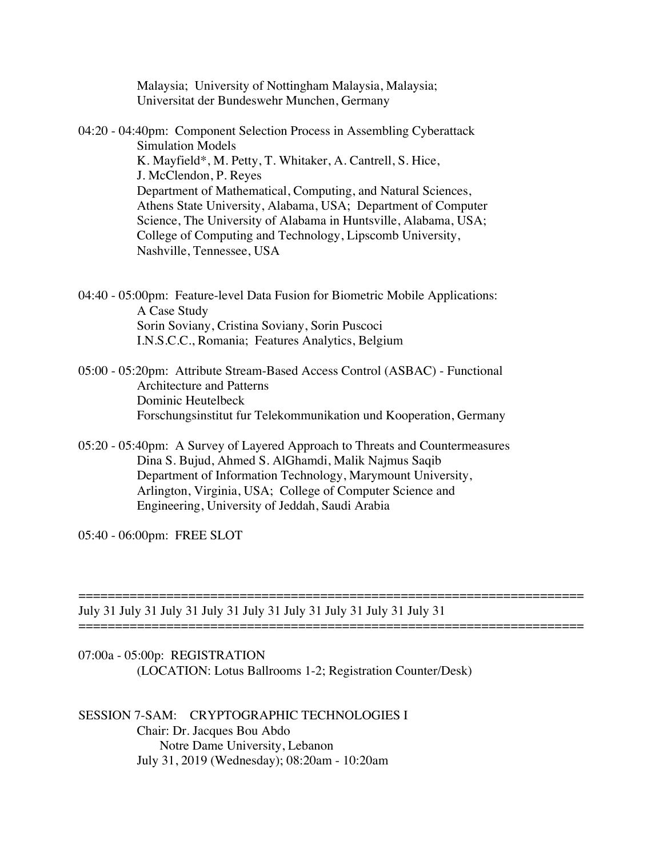Malaysia; University of Nottingham Malaysia, Malaysia; Universitat der Bundeswehr Munchen, Germany

04:20 - 04:40pm: Component Selection Process in Assembling Cyberattack Simulation Models K. Mayfield\*, M. Petty, T. Whitaker, A. Cantrell, S. Hice, J. McClendon, P. Reyes Department of Mathematical, Computing, and Natural Sciences, Athens State University, Alabama, USA; Department of Computer Science, The University of Alabama in Huntsville, Alabama, USA; College of Computing and Technology, Lipscomb University, Nashville, Tennessee, USA

04:40 - 05:00pm: Feature-level Data Fusion for Biometric Mobile Applications: A Case Study Sorin Soviany, Cristina Soviany, Sorin Puscoci I.N.S.C.C., Romania; Features Analytics, Belgium

- 05:00 05:20pm: Attribute Stream-Based Access Control (ASBAC) Functional Architecture and Patterns Dominic Heutelbeck Forschungsinstitut fur Telekommunikation und Kooperation, Germany
- 05:20 05:40pm: A Survey of Layered Approach to Threats and Countermeasures Dina S. Bujud, Ahmed S. AlGhamdi, Malik Najmus Saqib Department of Information Technology, Marymount University, Arlington, Virginia, USA; College of Computer Science and Engineering, University of Jeddah, Saudi Arabia

=================================

05:40 - 06:00pm: FREE SLOT

July 31 July 31 July 31 July 31 July 31 July 31 July 31 July 31 July 31

07:00a - 05:00p: REGISTRATION (LOCATION: Lotus Ballrooms 1-2; Registration Counter/Desk)

=====================================================================

SESSION 7-SAM: CRYPTOGRAPHIC TECHNOLOGIES I Chair: Dr. Jacques Bou Abdo Notre Dame University, Lebanon July 31, 2019 (Wednesday); 08:20am - 10:20am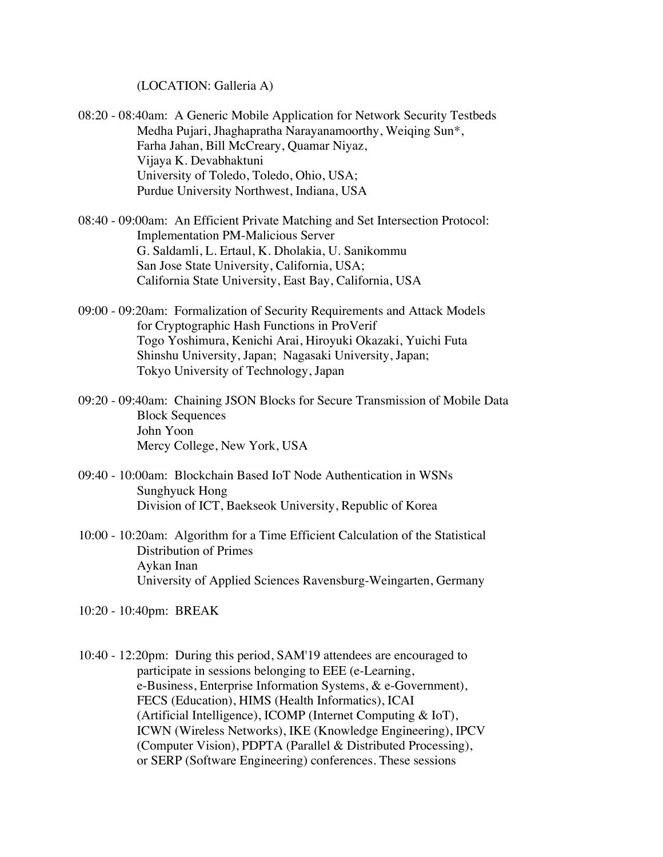(LOCATION: Galleria A)

- 08:20 08:40am: A Generic Mobile Application for Network Security Testbeds Medha Pujari, Jhaghapratha Narayanamoorthy, Weiqing Sun\*, Farha Jahan, Bill McCreary, Quamar Niyaz, Vijaya K. Devabhaktuni University of Toledo, Toledo, Ohio, USA; Purdue University Northwest, Indiana, USA
- 08:40 09:00am: An Efficient Private Matching and Set Intersection Protocol: Implementation PM-Malicious Server G. Saldamli, L. Ertaul, K. Dholakia, U. Sanikommu San Jose State University, California, USA; California State University, East Bay, California, USA
- 09:00 09:20am: Formalization of Security Requirements and Attack Models for Cryptographic Hash Functions in ProVerif Togo Yoshimura, Kenichi Arai, Hiroyuki Okazaki, Yuichi Futa Shinshu University, Japan; Nagasaki University, Japan; Tokyo University of Technology, Japan
- 09:20 09:40am: Chaining JSON Blocks for Secure Transmission of Mobile Data Block Sequences John Yoon Mercy College, New York, USA
- 09:40 10:00am: Blockchain Based IoT Node Authentication in WSNs Sunghyuck Hong Division of ICT, Baekseok University, Republic of Korea
- 10:00 10:20am: Algorithm for a Time Efficient Calculation of the Statistical Distribution of Primes Aykan Inan University of Applied Sciences Ravensburg-Weingarten, Germany
- 10:20 10:40pm: BREAK
- 10:40 12:20pm: During this period, SAM'19 attendees are encouraged to participate in sessions belonging to EEE (e-Learning, e-Business, Enterprise Information Systems, & e-Government), FECS (Education), HIMS (Health Informatics), ICAI (Artificial Intelligence), ICOMP (Internet Computing & IoT), ICWN (Wireless Networks), IKE (Knowledge Engineering), IPCV (Computer Vision), PDPTA (Parallel & Distributed Processing), or SERP (Software Engineering) conferences. These sessions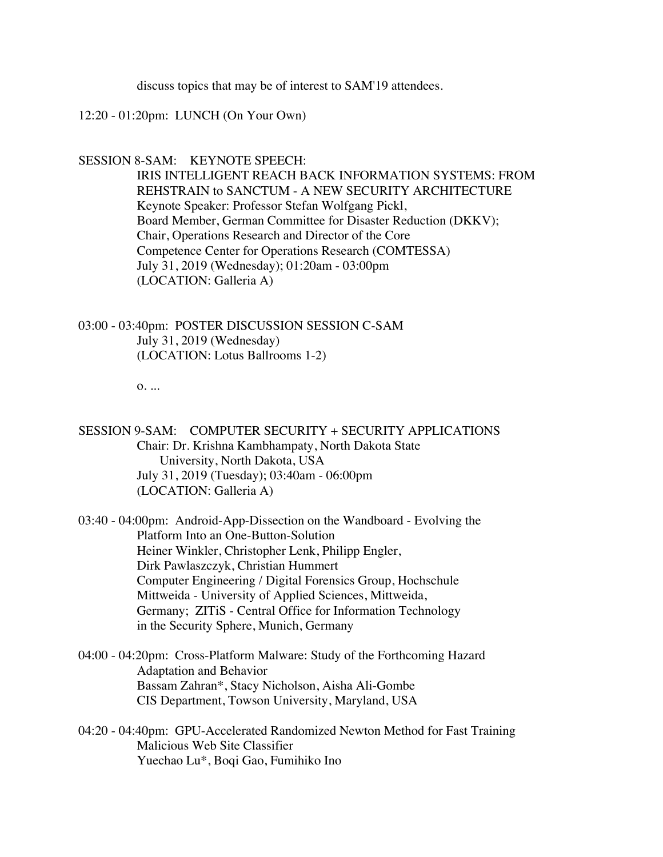discuss topics that may be of interest to SAM'19 attendees.

### 12:20 - 01:20pm: LUNCH (On Your Own)

#### SESSION 8-SAM: KEYNOTE SPEECH:

 IRIS INTELLIGENT REACH BACK INFORMATION SYSTEMS: FROM REHSTRAIN to SANCTUM - A NEW SECURITY ARCHITECTURE Keynote Speaker: Professor Stefan Wolfgang Pickl, Board Member, German Committee for Disaster Reduction (DKKV); Chair, Operations Research and Director of the Core Competence Center for Operations Research (COMTESSA) July 31, 2019 (Wednesday); 01:20am - 03:00pm (LOCATION: Galleria A)

03:00 - 03:40pm: POSTER DISCUSSION SESSION C-SAM July 31, 2019 (Wednesday) (LOCATION: Lotus Ballrooms 1-2)

o. ...

SESSION 9-SAM: COMPUTER SECURITY + SECURITY APPLICATIONS Chair: Dr. Krishna Kambhampaty, North Dakota State University, North Dakota, USA July 31, 2019 (Tuesday); 03:40am - 06:00pm (LOCATION: Galleria A)

03:40 - 04:00pm: Android-App-Dissection on the Wandboard - Evolving the Platform Into an One-Button-Solution Heiner Winkler, Christopher Lenk, Philipp Engler, Dirk Pawlaszczyk, Christian Hummert Computer Engineering / Digital Forensics Group, Hochschule Mittweida - University of Applied Sciences, Mittweida, Germany; ZITiS - Central Office for Information Technology in the Security Sphere, Munich, Germany

- 04:00 04:20pm: Cross-Platform Malware: Study of the Forthcoming Hazard Adaptation and Behavior Bassam Zahran\*, Stacy Nicholson, Aisha Ali-Gombe CIS Department, Towson University, Maryland, USA
- 04:20 04:40pm: GPU-Accelerated Randomized Newton Method for Fast Training Malicious Web Site Classifier Yuechao Lu\*, Boqi Gao, Fumihiko Ino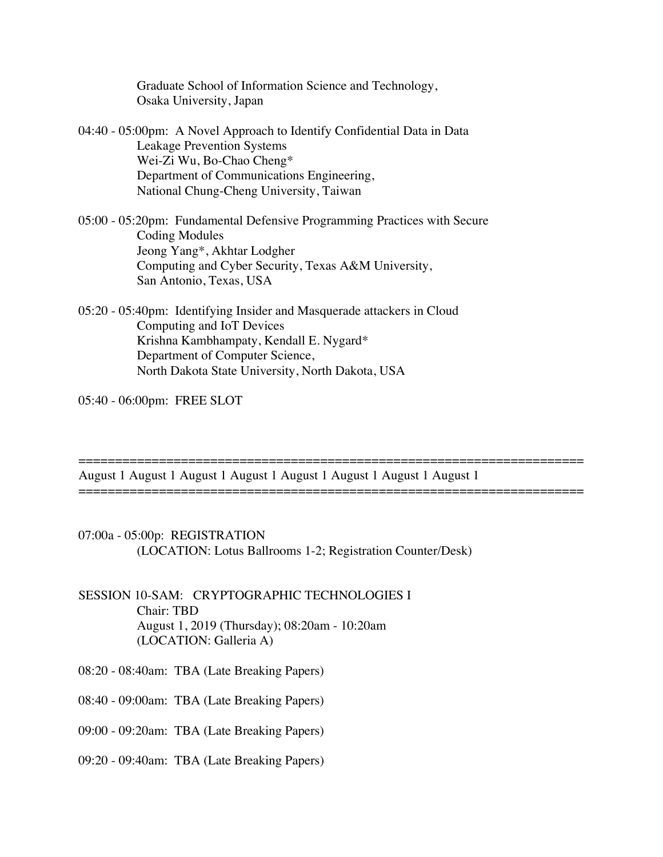Graduate School of Information Science and Technology, Osaka University, Japan

- 04:40 05:00pm: A Novel Approach to Identify Confidential Data in Data Leakage Prevention Systems Wei-Zi Wu, Bo-Chao Cheng\* Department of Communications Engineering, National Chung-Cheng University, Taiwan
- 05:00 05:20pm: Fundamental Defensive Programming Practices with Secure Coding Modules Jeong Yang\*, Akhtar Lodgher Computing and Cyber Security, Texas A&M University, San Antonio, Texas, USA
- 05:20 05:40pm: Identifying Insider and Masquerade attackers in Cloud Computing and IoT Devices Krishna Kambhampaty, Kendall E. Nygard\* Department of Computer Science, North Dakota State University, North Dakota, USA

05:40 - 06:00pm: FREE SLOT

August 1 August 1 August 1 August 1 August 1 August 1 August 1 August 1

=====================================================================

=====================================================================

- 07:00a 05:00p: REGISTRATION (LOCATION: Lotus Ballrooms 1-2; Registration Counter/Desk)
- SESSION 10-SAM: CRYPTOGRAPHIC TECHNOLOGIES I Chair: TBD August 1, 2019 (Thursday); 08:20am - 10:20am (LOCATION: Galleria A)
- 08:20 08:40am: TBA (Late Breaking Papers)
- 08:40 09:00am: TBA (Late Breaking Papers)
- 09:00 09:20am: TBA (Late Breaking Papers)
- 09:20 09:40am: TBA (Late Breaking Papers)